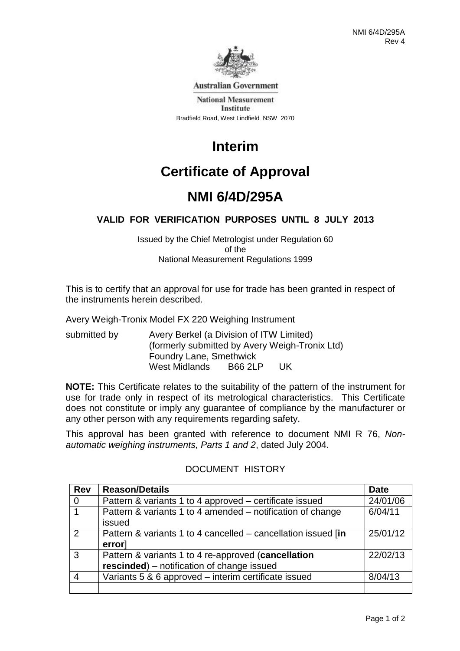

**Australian Government** 

**National Measurement Institute** Bradfield Road, West Lindfield NSW 2070

# **Interim**

# **Certificate of Approval**

## **NMI 6/4D/295A**

## **VALID FOR VERIFICATION PURPOSES UNTIL 8 JULY 2013**

Issued by the Chief Metrologist under Regulation 60 of the National Measurement Regulations 1999

This is to certify that an approval for use for trade has been granted in respect of the instruments herein described.

Avery Weigh-Tronix Model FX 220 Weighing Instrument

submitted by Avery Berkel (a Division of ITW Limited) (formerly submitted by Avery Weigh-Tronix Ltd) Foundry Lane, Smethwick West Midlands B66 2LP UK

**NOTE:** This Certificate relates to the suitability of the pattern of the instrument for use for trade only in respect of its metrological characteristics. This Certificate does not constitute or imply any guarantee of compliance by the manufacturer or any other person with any requirements regarding safety.

This approval has been granted with reference to document NMI R 76, *Nonautomatic weighing instruments, Parts 1 and 2*, dated July 2004.

| <b>Rev</b>              | <b>Reason/Details</b>                                                                             | <b>Date</b> |
|-------------------------|---------------------------------------------------------------------------------------------------|-------------|
| $\overline{0}$          | Pattern & variants 1 to 4 approved – certificate issued                                           | 24/01/06    |
| $\overline{\mathbf{1}}$ | Pattern & variants 1 to 4 amended – notification of change<br>issued                              | 6/04/11     |
| $\mathcal{P}$           | Pattern & variants 1 to 4 cancelled – cancellation issued [in<br>error                            | 25/01/12    |
| 3                       | Pattern & variants 1 to 4 re-approved (cancellation<br>rescinded) - notification of change issued | 22/02/13    |
|                         | Variants 5 & 6 approved – interim certificate issued                                              | 8/04/13     |
|                         |                                                                                                   |             |

## DOCUMENT HISTORY